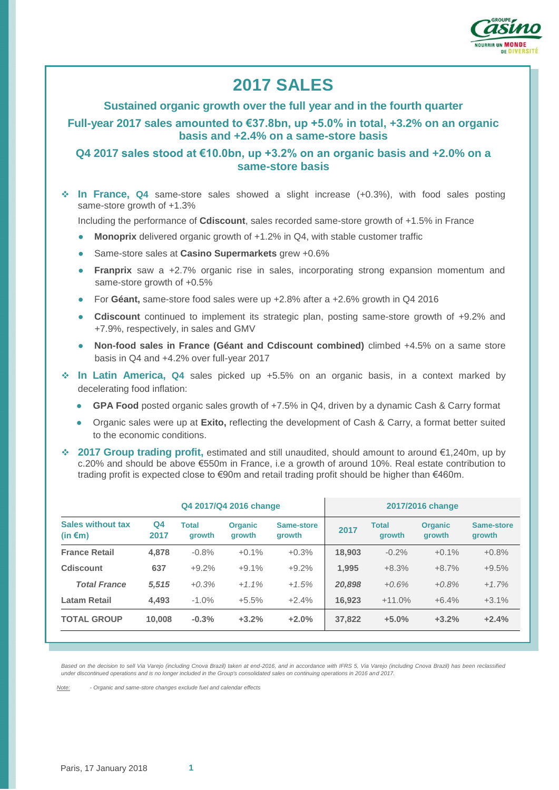

# **2017 SALES**

#### **Sustained organic growth over the full year and in the fourth quarter**

**Full-year 2017 sales amounted to €37.8bn, up +5.0% in total, +3.2% on an organic basis and +2.4% on a same-store basis**

# **Q4 2017 sales stood at €10.0bn, up +3.2% on an organic basis and +2.0% on a same-store basis**

 **In France, Q4** same-store sales showed a slight increase (+0.3%), with food sales posting same-store growth of +1.3%

Including the performance of **Cdiscount**, sales recorded same-store growth of +1.5% in France

- **Monoprix** delivered organic growth of +1.2% in Q4, with stable customer traffic
- Same-store sales at **Casino Supermarkets** grew +0.6%
- **Franprix** saw a +2.7% organic rise in sales, incorporating strong expansion momentum and same-store growth of +0.5%
- For **Géant,** same-store food sales were up +2.8% after a +2.6% growth in Q4 2016
- **Cdiscount** continued to implement its strategic plan, posting same-store growth of +9.2% and +7.9%, respectively, in sales and GMV
- **Non-food sales in France (Géant and Cdiscount combined)** climbed +4.5% on a same store basis in Q4 and +4.2% over full-year 2017
- **In Latin America, Q4** sales picked up +5.5% on an organic basis, in a context marked by decelerating food inflation:
	- **GPA Food** posted organic sales growth of +7.5% in Q4, driven by a dynamic Cash & Carry format
	- Organic sales were up at **Exito,** reflecting the development of Cash & Carry, a format better suited to the economic conditions.
- **2017 Group trading profit,** estimated and still unaudited, should amount to around €1,240m, up by c.20% and should be above €550m in France, i.e a growth of around 10%. Real estate contribution to trading profit is expected close to €90m and retail trading profit should be higher than €460m.

|                                               | Q4 2017/Q4 2016 change |                               |                          |                      | 2017/2016 change |                        |                                 |                      |
|-----------------------------------------------|------------------------|-------------------------------|--------------------------|----------------------|------------------|------------------------|---------------------------------|----------------------|
| <b>Sales without tax</b><br>(in $\epsilon$ m) | Q <sub>4</sub><br>2017 | <b>Total</b><br><b>arowth</b> | <b>Organic</b><br>arowth | Same-store<br>growth | 2017             | Total<br><b>arowth</b> | <b>Organic</b><br><b>arowth</b> | Same-store<br>growth |
| <b>France Retail</b>                          | 4.878                  | $-0.8%$                       | $+0.1%$                  | $+0.3%$              | 18,903           | $-0.2%$                | $+0.1%$                         | $+0.8%$              |
| Cdiscount                                     | 637                    | $+9.2%$                       | $+9.1%$                  | $+9.2%$              | 1,995            | $+8.3%$                | $+8.7%$                         | $+9.5%$              |
| <b>Total France</b>                           | 5,515                  | $+0.3%$                       | $+1.1\%$                 | $+1.5%$              | 20,898           | $+0.6%$                | $+0.8%$                         | $+1.7%$              |
| <b>Latam Retail</b>                           | 4.493                  | $-1.0%$                       | $+5.5%$                  | $+2.4%$              | 16.923           | $+11.0%$               | $+6.4%$                         | $+3.1%$              |
| <b>TOTAL GROUP</b>                            | 10.008                 | $-0.3%$                       | $+3.2%$                  | $+2.0%$              | 37,822           | $+5.0%$                | $+3.2%$                         | $+2.4%$              |
|                                               |                        |                               |                          |                      |                  |                        |                                 |                      |

*Based on the decision to sell Via Varejo (including Cnova Brazil) taken at end-2016, and in accordance with IFRS 5, Via Varejo (including Cnova Brazil) has been reclassified under discontinued operations and is no longer included in the Group's consolidated sales on continuing operations in 2016 and 2017.*

*Note: - Organic and same-store changes exclude fuel and calendar effects*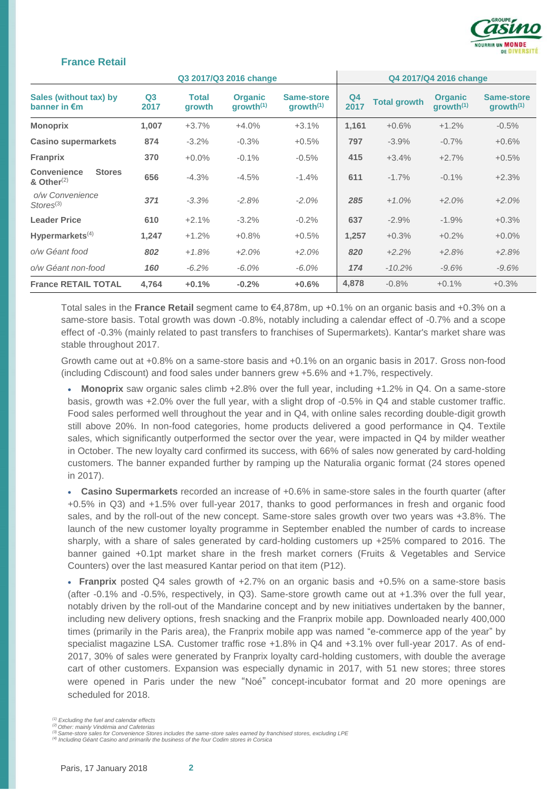

#### **France Retail**

|                                                      |                        |                        | Q3 2017/Q3 2016 change                  |                                     | Q4 2017/Q4 2016 change |                     |                                         |                                            |
|------------------------------------------------------|------------------------|------------------------|-----------------------------------------|-------------------------------------|------------------------|---------------------|-----------------------------------------|--------------------------------------------|
| Sales (without tax) by<br>banner in $\epsilon$ m     | Q <sub>3</sub><br>2017 | <b>Total</b><br>growth | <b>Organic</b><br>growth <sup>(1)</sup> | Same-store<br>growth <sup>(1)</sup> | Q <sub>4</sub><br>2017 | <b>Total growth</b> | <b>Organic</b><br>growth <sup>(1)</sup> | <b>Same-store</b><br>growth <sup>(1)</sup> |
| <b>Monoprix</b>                                      | 1,007                  | $+3.7%$                | $+4.0%$                                 | $+3.1%$                             | 1,161                  | $+0.6%$             | $+1.2%$                                 | $-0.5%$                                    |
| <b>Casino supermarkets</b>                           | 874                    | $-3.2%$                | $-0.3%$                                 | $+0.5%$                             | 797                    | $-3.9%$             | $-0.7%$                                 | $+0.6%$                                    |
| <b>Franprix</b>                                      | 370                    | $+0.0%$                | $-0.1\%$                                | $-0.5%$                             | 415                    | $+3.4%$             | $+2.7%$                                 | $+0.5%$                                    |
| <b>Convenience</b><br><b>Stores</b><br>& Other $(2)$ | 656                    | $-4.3%$                | $-4.5%$                                 | $-1.4%$                             | 611                    | $-1.7%$             | $-0.1\%$                                | $+2.3%$                                    |
| o/w Convenience<br>$\text{Stores}^{(3)}$             | 371                    | $-3.3%$                | $-2.8%$                                 | $-2.0%$                             | 285                    | $+1.0%$             | $+2.0%$                                 | $+2.0%$                                    |
| <b>Leader Price</b>                                  | 610                    | $+2.1%$                | $-3.2%$                                 | $-0.2%$                             | 637                    | $-2.9%$             | $-1.9%$                                 | $+0.3%$                                    |
| Hypermarkets $(4)$                                   | 1,247                  | $+1.2%$                | $+0.8%$                                 | $+0.5%$                             | 1,257                  | $+0.3%$             | $+0.2%$                                 | $+0.0\%$                                   |
| o/w Géant food                                       | 802                    | $+1.8%$                | $+2.0%$                                 | $+2.0%$                             | 820                    | $+2.2%$             | $+2.8%$                                 | $+2.8%$                                    |
| o/w Géant non-food                                   | 160                    | $-6.2%$                | $-6.0\%$                                | $-6.0\%$                            | 174                    | $-10.2\%$           | $-9.6%$                                 | $-9.6%$                                    |
| <b>France RETAIL TOTAL</b>                           | 4,764                  | $+0.1%$                | $-0.2%$                                 | $+0.6%$                             | 4,878                  | $-0.8%$             | $+0.1%$                                 | $+0.3%$                                    |

Total sales in the **France Retail** segment came to €4,878m, up +0.1% on an organic basis and +0.3% on a same-store basis. Total growth was down -0.8%, notably including a calendar effect of -0.7% and a scope effect of -0.3% (mainly related to past transfers to franchises of Supermarkets). Kantar's market share was stable throughout 2017.

Growth came out at +0.8% on a same-store basis and +0.1% on an organic basis in 2017. Gross non-food (including Cdiscount) and food sales under banners grew +5.6% and +1.7%, respectively.

 **Monoprix** saw organic sales climb +2.8% over the full year, including +1.2% in Q4. On a same-store basis, growth was +2.0% over the full year, with a slight drop of -0.5% in Q4 and stable customer traffic. Food sales performed well throughout the year and in Q4, with online sales recording double-digit growth still above 20%. In non-food categories, home products delivered a good performance in Q4. Textile sales, which significantly outperformed the sector over the year, were impacted in Q4 by milder weather in October. The new loyalty card confirmed its success, with 66% of sales now generated by card-holding customers. The banner expanded further by ramping up the Naturalia organic format (24 stores opened in 2017).

 **Casino Supermarkets** recorded an increase of +0.6% in same-store sales in the fourth quarter (after +0.5% in Q3) and +1.5% over full-year 2017, thanks to good performances in fresh and organic food sales, and by the roll-out of the new concept. Same-store sales growth over two years was +3.8%. The launch of the new customer loyalty programme in September enabled the number of cards to increase sharply, with a share of sales generated by card-holding customers up +25% compared to 2016. The banner gained +0.1pt market share in the fresh market corners (Fruits & Vegetables and Service Counters) over the last measured Kantar period on that item (P12).

 **Franprix** posted Q4 sales growth of +2.7% on an organic basis and +0.5% on a same-store basis (after -0.1% and -0.5%, respectively, in Q3). Same-store growth came out at +1.3% over the full year, notably driven by the roll-out of the Mandarine concept and by new initiatives undertaken by the banner, including new delivery options, fresh snacking and the Franprix mobile app. Downloaded nearly 400,000 times (primarily in the Paris area), the Franprix mobile app was named "e-commerce app of the year" by specialist magazine LSA. Customer traffic rose +1.8% in Q4 and +3.1% over full-year 2017. As of end-2017, 30% of sales were generated by Franprix loyalty card-holding customers, with double the average cart of other customers. Expansion was especially dynamic in 2017, with 51 new stores; three stores were opened in Paris under the new "Noé" concept-incubator format and 20 more openings are scheduled for 2018.

*<sup>(1)</sup> Excluding the fuel and calendar effects*

*<sup>(2)</sup> Other: mainly Vindémia and Cafeterias*

*<sup>(3)</sup> Same-store sales for Convenience Stores includes the same-store sales earned by franchised stores, excluding LPE*

*<sup>(4)</sup> Including Géant Casino and primarily the business of the four Codim stores in Corsica*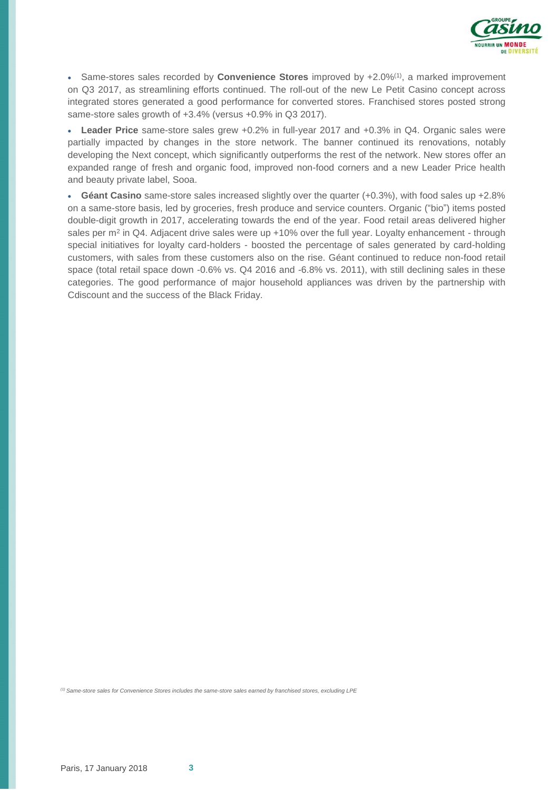

• Same-stores sales recorded by **Convenience Stores** improved by +2.0%<sup>(1)</sup>, a marked improvement on Q3 2017, as streamlining efforts continued. The roll-out of the new Le Petit Casino concept across integrated stores generated a good performance for converted stores. Franchised stores posted strong same-store sales growth of +3.4% (versus +0.9% in Q3 2017).

 **Leader Price** same-store sales grew +0.2% in full-year 2017 and +0.3% in Q4. Organic sales were partially impacted by changes in the store network. The banner continued its renovations, notably developing the Next concept, which significantly outperforms the rest of the network. New stores offer an expanded range of fresh and organic food, improved non-food corners and a new Leader Price health and beauty private label, Sooa.

 **Géant Casino** same-store sales increased slightly over the quarter (+0.3%), with food sales up +2.8% on a same-store basis, led by groceries, fresh produce and service counters. Organic ("bio") items posted double-digit growth in 2017, accelerating towards the end of the year. Food retail areas delivered higher sales per m<sup>2</sup> in Q4. Adjacent drive sales were up +10% over the full year. Loyalty enhancement - through special initiatives for loyalty card-holders - boosted the percentage of sales generated by card-holding customers, with sales from these customers also on the rise. Géant continued to reduce non-food retail space (total retail space down -0.6% vs. Q4 2016 and -6.8% vs. 2011), with still declining sales in these categories. The good performance of major household appliances was driven by the partnership with Cdiscount and the success of the Black Friday.

*(1) Same-store sales for Convenience Stores includes the same-store sales earned by franchised stores, excluding LPE*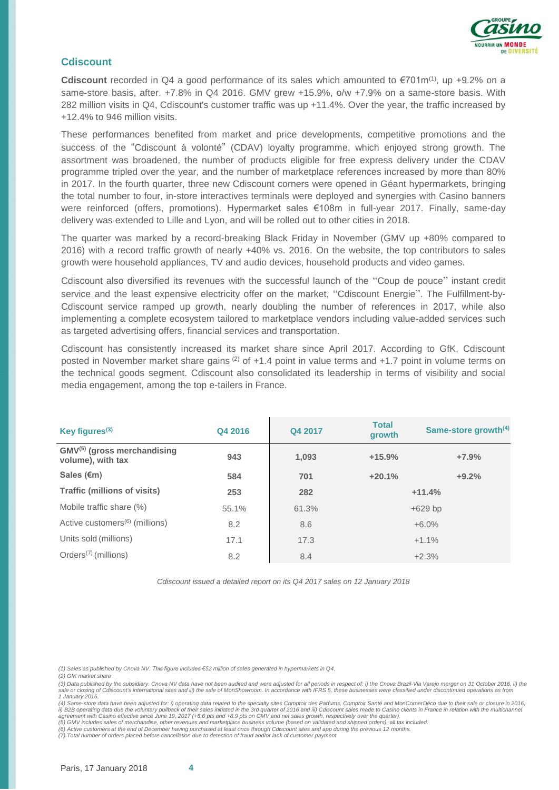

#### **Cdiscount**

**Cdiscount** recorded in Q4 a good performance of its sales which amounted to €701m<sup>(1)</sup>, up +9.2% on a same-store basis, after. +7.8% in Q4 2016. GMV grew +15.9%, o/w +7.9% on a same-store basis. With 282 million visits in Q4, Cdiscount's customer traffic was up +11.4%. Over the year, the traffic increased by +12.4% to 946 million visits.

These performances benefited from market and price developments, competitive promotions and the success of the "Cdiscount à volonté" (CDAV) loyalty programme, which enjoyed strong growth. The assortment was broadened, the number of products eligible for free express delivery under the CDAV programme tripled over the year, and the number of marketplace references increased by more than 80% in 2017. In the fourth quarter, three new Cdiscount corners were opened in Géant hypermarkets, bringing the total number to four, in-store interactives terminals were deployed and synergies with Casino banners were reinforced (offers, promotions). Hypermarket sales €108m in full-year 2017. Finally, same-day delivery was extended to Lille and Lyon, and will be rolled out to other cities in 2018.

The quarter was marked by a record-breaking Black Friday in November (GMV up +80% compared to 2016) with a record traffic growth of nearly +40% vs. 2016. On the website, the top contributors to sales growth were household appliances, TV and audio devices, household products and video games.

Cdiscount also diversified its revenues with the successful launch of the "Coup de pouce" instant credit service and the least expensive electricity offer on the market, "Cdiscount Energie". The Fulfillment-by-Cdiscount service ramped up growth, nearly doubling the number of references in 2017, while also implementing a complete ecosystem tailored to marketplace vendors including value-added services such as targeted advertising offers, financial services and transportation.

Cdiscount has consistently increased its market share since April 2017. According to GfK, Cdiscount posted in November market share gains  $(2)$  of +1.4 point in value terms and +1.7 point in volume terms on the technical goods segment. Cdiscount also consolidated its leadership in terms of visibility and social media engagement, among the top e-tailers in France.

| Key figures $(3)$                                            | Q4 2016 | Q4 2017 | <b>Total</b><br>growth | Same-store growth <sup>(4)</sup> |
|--------------------------------------------------------------|---------|---------|------------------------|----------------------------------|
| GMV <sup>(5)</sup> (gross merchandising<br>volume), with tax | 943     | 1,093   | $+15.9%$               | $+7.9%$                          |
| Sales $(€m)$                                                 | 584     | 701     | $+20.1%$               | $+9.2%$                          |
| <b>Traffic (millions of visits)</b>                          | 253     | 282     |                        | $+11.4%$                         |
| Mobile traffic share (%)                                     | 55.1%   | 61.3%   |                        | $+629$ bp                        |
| Active customers <sup>(6)</sup> (millions)                   | 8.2     | 8.6     |                        | $+6.0%$                          |
| Units sold (millions)                                        | 17.1    | 17.3    |                        | $+1.1%$                          |
| Orders <sup>(7)</sup> (millions)                             | 8.2     | 8.4     |                        | $+2.3%$                          |

*Cdiscount issued a detailed report on its Q4 2017 sales on 12 January 2018*

*(2) GfK market share* 

(3) Data published by the subsidiary. Cnova NV data have not been audited and were adjusted for all periods in respect of: i) the Cnova Brazil-Via Varejo merger on 31 October 2016, ii) the<br>sale or closing of Cdiscount's in *1 January 2016.*

*(4) Same-store data have been adjusted for: i) operating data related to the specialty sites Comptoir des Parfums, Comptoir Santé and MonCornerDéco due to their sale or closure in 2016,*  ii) B2B operating data due the voluntary pullback of their sales initiated in the 3rd quarter of 2016 and iii) Cdiscount sales made to Casino clients in France in relation with the multichannel<br>agreement with Casino effect

*(5) GMV includes sales of merchandise, other revenues and marketplace business volume (based on validated and shipped orders), all tax included. (6) Active customers at the end of December having purchased at least once through Cdiscount sites and app during the previous 12 months.*

*(7) Total number of orders placed before cancellation due to detection of fraud and/or lack of customer payment.*

*<sup>(1)</sup> Sales as published by Cnova NV. This figure includes €52 million of sales generated in hypermarkets in Q4.*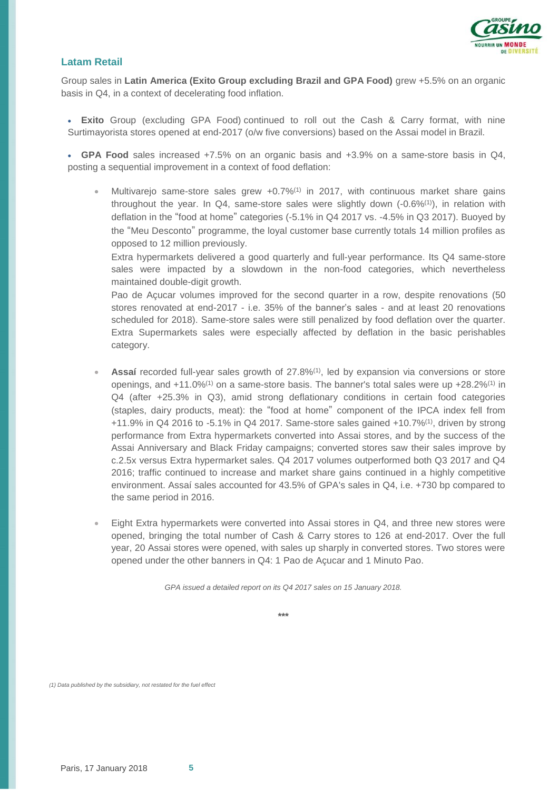

## **Latam Retail**

Group sales in **Latin America (Exito Group excluding Brazil and GPA Food)** grew +5.5% on an organic basis in Q4, in a context of decelerating food inflation.

 **Exito** Group (excluding GPA Food) continued to roll out the Cash & Carry format, with nine Surtimayorista stores opened at end-2017 (o/w five conversions) based on the Assai model in Brazil.

 **GPA Food** sales increased +7.5% on an organic basis and +3.9% on a same-store basis in Q4, posting a sequential improvement in a context of food deflation:

Multivarejo same-store sales grew  $+0.7\%$ <sup>(1)</sup> in 2017, with continuous market share gains throughout the year. In Q4, same-store sales were slightly down  $(-0.6\%/1)$ , in relation with deflation in the "food at home" categories (-5.1% in Q4 2017 vs. -4.5% in Q3 2017). Buoyed by the "Meu Desconto" programme, the loyal customer base currently totals 14 million profiles as opposed to 12 million previously.

Extra hypermarkets delivered a good quarterly and full-year performance. Its Q4 same-store sales were impacted by a slowdown in the non-food categories, which nevertheless maintained double-digit growth.

Pao de Açucar volumes improved for the second quarter in a row, despite renovations (50 stores renovated at end-2017 - i.e. 35% of the banner's sales - and at least 20 renovations scheduled for 2018). Same-store sales were still penalized by food deflation over the quarter. Extra Supermarkets sales were especially affected by deflation in the basic perishables category.

- **Assaí** recorded full-year sales growth of 27.8%(1), led by expansion via conversions or store openings, and +11.0%<sup>(1)</sup> on a same-store basis. The banner's total sales were up +28.2%<sup>(1)</sup> in Q4 (after +25.3% in Q3), amid strong deflationary conditions in certain food categories (staples, dairy products, meat): the "food at home" component of the IPCA index fell from +11.9% in Q4 2016 to -5.1% in Q4 2017. Same-store sales gained +10.7%(1) , driven by strong performance from Extra hypermarkets converted into Assai stores, and by the success of the Assai Anniversary and Black Friday campaigns; converted stores saw their sales improve by c.2.5x versus Extra hypermarket sales. Q4 2017 volumes outperformed both Q3 2017 and Q4 2016; traffic continued to increase and market share gains continued in a highly competitive environment. Assaí sales accounted for 43.5% of GPA's sales in Q4, i.e. +730 bp compared to the same period in 2016.
- Eight Extra hypermarkets were converted into Assai stores in Q4, and three new stores were opened, bringing the total number of Cash & Carry stores to 126 at end-2017. Over the full year, 20 Assai stores were opened, with sales up sharply in converted stores. Two stores were opened under the other banners in Q4: 1 Pao de Açucar and 1 Minuto Pao.

*GPA issued a detailed report on its Q4 2017 sales on 15 January 2018.*

**\*\*\***

*(1) Data published by the subsidiary, not restated for the fuel effect*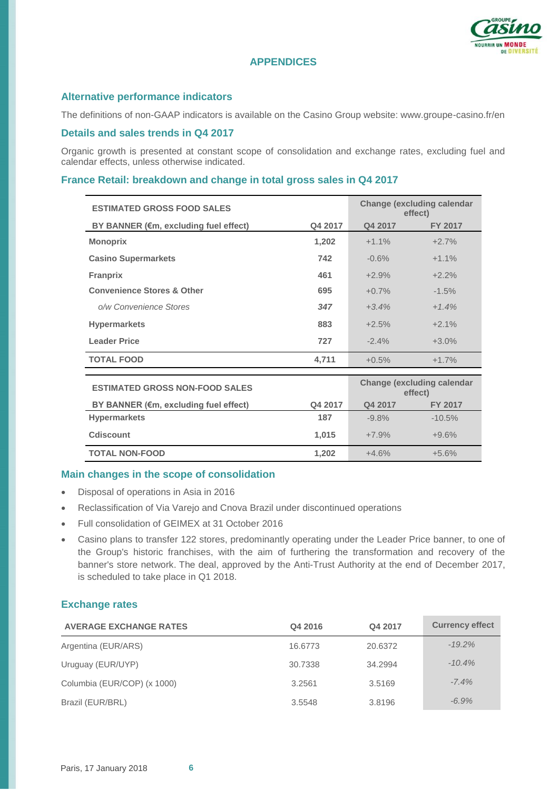

# **APPENDICES**

# **Alternative performance indicators**

The definitions of non-GAAP indicators is available on the Casino Group website: www.groupe-casino.fr/en

## **Details and sales trends in Q4 2017**

Organic growth is presented at constant scope of consolidation and exchange rates, excluding fuel and calendar effects, unless otherwise indicated.

# **France Retail: breakdown and change in total gross sales in Q4 2017**

| <b>ESTIMATED GROSS FOOD SALES</b>                | <b>Change (excluding calendar</b><br>effect) |         |                                              |
|--------------------------------------------------|----------------------------------------------|---------|----------------------------------------------|
| BY BANNER (€m, excluding fuel effect)            | Q4 2017                                      | Q4 2017 | <b>FY 2017</b>                               |
| <b>Monoprix</b>                                  | 1,202                                        | $+1.1%$ | $+2.7%$                                      |
| <b>Casino Supermarkets</b>                       | 742                                          | $-0.6%$ | $+1.1%$                                      |
| <b>Franprix</b>                                  | 461                                          | $+2.9%$ | $+2.2%$                                      |
| <b>Convenience Stores &amp; Other</b>            | 695                                          | $+0.7%$ | $-1.5%$                                      |
| o/w Convenience Stores                           | 347                                          | $+3.4%$ | $+1.4%$                                      |
| <b>Hypermarkets</b>                              | 883                                          | $+2.5%$ | $+2.1%$                                      |
| <b>Leader Price</b>                              | 727                                          | $-2.4%$ | $+3.0\%$                                     |
| <b>TOTAL FOOD</b>                                | 4,711                                        | $+0.5%$ | $+1.7%$                                      |
|                                                  |                                              |         |                                              |
| <b>ESTIMATED GROSS NON-FOOD SALES</b>            |                                              |         | <b>Change (excluding calendar</b><br>effect) |
| BY BANNER ( $\epsilon$ m, excluding fuel effect) | Q4 2017                                      | Q4 2017 | FY 2017                                      |
| <b>Hypermarkets</b>                              | 187                                          | $-9.8%$ | $-10.5%$                                     |
| <b>Cdiscount</b>                                 | 1,015                                        | $+7.9%$ | $+9.6%$                                      |

## **Main changes in the scope of consolidation**

- Disposal of operations in Asia in 2016
- Reclassification of Via Varejo and Cnova Brazil under discontinued operations
- Full consolidation of GEIMEX at 31 October 2016
- Casino plans to transfer 122 stores, predominantly operating under the Leader Price banner, to one of the Group's historic franchises, with the aim of furthering the transformation and recovery of the banner's store network. The deal, approved by the Anti-Trust Authority at the end of December 2017, is scheduled to take place in Q1 2018.

**TOTAL NON-FOOD 1,202** +4.6% +5.6%

# **Exchange rates**

| <b>AVERAGE EXCHANGE RATES</b> | Q4 2016 | Q4 2017 | <b>Currency effect</b> |
|-------------------------------|---------|---------|------------------------|
| Argentina (EUR/ARS)           | 16.6773 | 20.6372 | $-19.2\%$              |
| Uruguay (EUR/UYP)             | 30.7338 | 34.2994 | $-10.4%$               |
| Columbia (EUR/COP) (x 1000)   | 3.2561  | 3.5169  | $-7.4%$                |
| Brazil (EUR/BRL)              | 3.5548  | 3.8196  | $-6.9\%$               |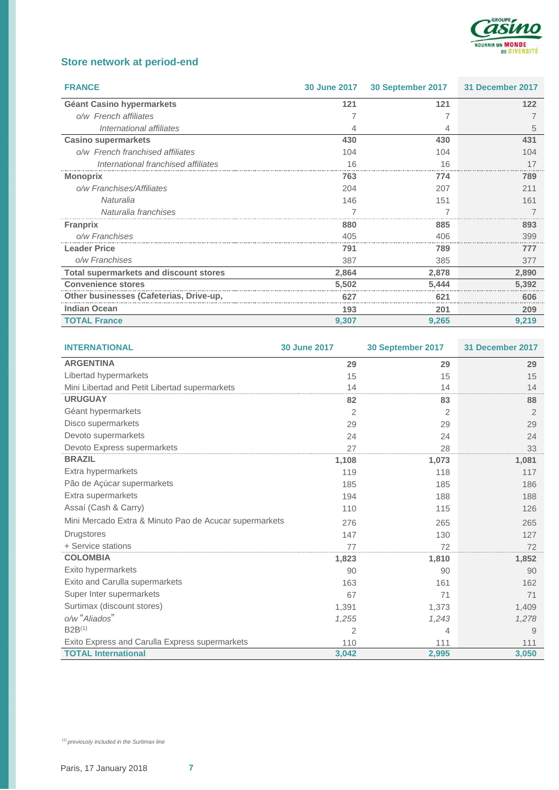

# **Store network at period-end**

| <b>FRANCE</b>                           | <b>30 June 2017</b> | 30 September 2017 | 31 December 2017 |
|-----------------------------------------|---------------------|-------------------|------------------|
| Géant Casino hypermarkets               | 121                 | 121               | 122              |
| o/w French affiliates                   |                     |                   |                  |
| International affiliates                |                     |                   | 5                |
| <b>Casino supermarkets</b>              | 430                 | 430               | 431              |
| o/w French franchised affiliates        | 104                 | 104               | 104              |
| International franchised affiliates     | 16                  | 16                |                  |
| <b>Monoprix</b>                         | 763                 | 774               | 789              |
| o/w Franchises/Affiliates               | 204                 | 207               | 211              |
| Naturalia                               | 146                 | 151               | 161              |
| Naturalia franchises                    |                     |                   |                  |
| <b>Franprix</b>                         | 880                 | 885               | 893              |
| o/w Franchises                          | 405                 | 406               | 399              |
| <b>Leader Price</b>                     | 791                 | 789               | 777              |
| o/w Franchises                          | 387                 | 385               | 377              |
| Total supermarkets and discount stores  | 2,864               | 2,878             | 2,890            |
| <b>Convenience stores</b>               | 5,502               | 5,444             | 5,392            |
| Other businesses (Cafeterias, Drive-up, | 627                 | $62^{\circ}$      | 606              |
| <b>Indian Ocean</b>                     | 193                 | 201               | 209              |
| <b>TOTAL France</b>                     | 9,307               | 9,265             | 9,219            |

| <b>INTERNATIONAL</b>                                   | <b>30 June 2017</b> | 30 September 2017 | 31 December 2017 |
|--------------------------------------------------------|---------------------|-------------------|------------------|
| <b>ARGENTINA</b>                                       | 29                  | 29                | 29               |
| Libertad hypermarkets                                  | 15                  | 15                | 15               |
| Mini Libertad and Petit Libertad supermarkets          | 14                  | 14                | 14               |
| <b>URUGUAY</b>                                         | 82                  | 83                | 88               |
| Géant hypermarkets                                     | 2                   | 2                 | 2                |
| Disco supermarkets                                     | 29                  | 29                | 29               |
| Devoto supermarkets                                    | 24                  | 24                | 24               |
| Devoto Express supermarkets                            | 27                  | 28                | 33               |
| <b>BRAZIL</b>                                          | 1,108               | 1,073             | 1,081            |
| Extra hypermarkets                                     | 119                 | 118               | 117              |
| Pão de Açúcar supermarkets                             | 185                 | 185               | 186              |
| Extra supermarkets                                     | 194                 | 188               | 188              |
| Assaí (Cash & Carry)                                   | 110                 | 115               | 126              |
| Mini Mercado Extra & Minuto Pao de Acucar supermarkets | 276                 | 265               | 265              |
| <b>Drugstores</b>                                      | 147                 | 130               | 127              |
| + Service stations                                     | 77                  | 72                | 72               |
| <b>COLOMBIA</b>                                        | 1,823               | 1,810             | 1,852            |
| Exito hypermarkets                                     | 90                  | 90                | 90               |
| Exito and Carulla supermarkets                         | 163                 | 161               | 162              |
| Super Inter supermarkets                               | 67                  | 71                | 71               |
| Surtimax (discount stores)                             | 1,391               | 1,373             | 1,409            |
| o/w "Aliados"                                          | 1,255               | 1,243             | 1,278            |
| $B2B^{(1)}$                                            | 2                   | 4                 | 9                |
| Exito Express and Carulla Express supermarkets         | 110                 | 111               | 111              |
| <b>TOTAL International</b>                             | 3,042               | 2,995             | 3,050            |

*(1) previously included in the Surtimax line*